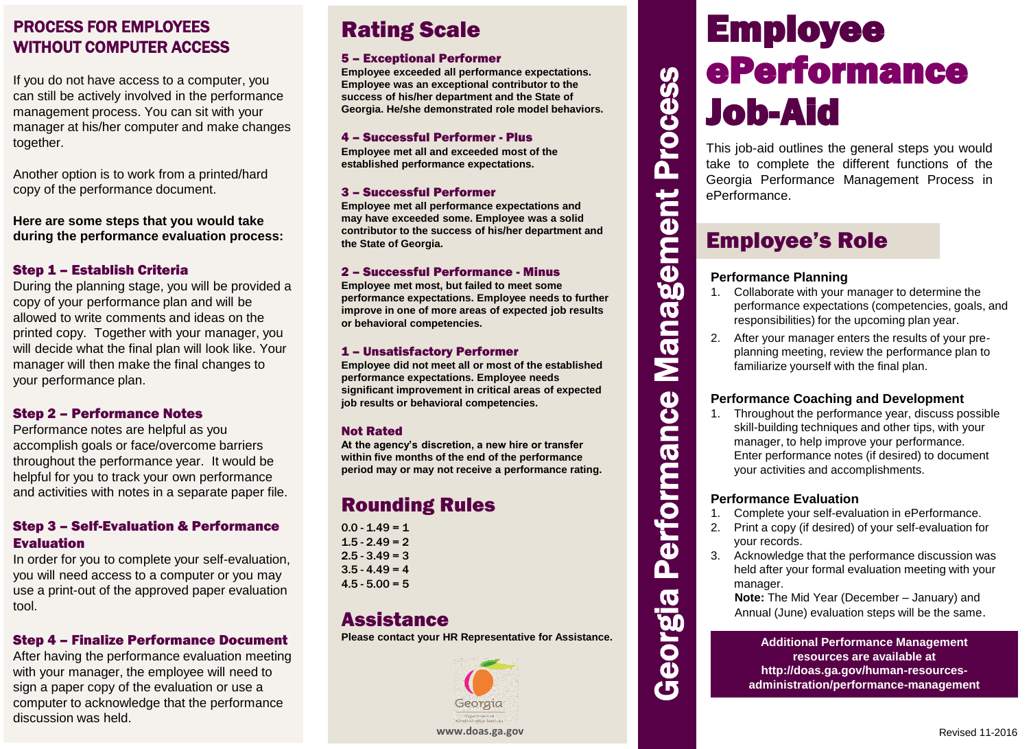## PROCESS FOR EMPLOYEES **Rating Scale** WITHOUT COMPUTER ACCESS

If you do not have access to a computer, you can still be actively involved in the performance management process. You can sit with your manager at his/her computer and make changes together.

Another option is to work from a printed/hard copy of the performance document.

**Here are some steps that you would take during the performance evaluation process:**

## Step 1 – Establish Criteria

During the planning stage, you will be provided a copy of your performance plan and will be allowed to write comments and ideas on the printed copy. Together with your manager, you will decide what the final plan will look like. Your manager will then make the final changes to your performance plan.

## Step 2 – Performance Notes

Performance notes are helpful as you accomplish goals or face/overcome barriers throughout the performance year. It would be helpful for you to track your own performance and activities with notes in a separate paper file.

## Step 3 – Self-Evaluation & Performance Evaluation

In order for you to complete your self-evaluation, you will need access to a computer or you may use a print-out of the approved paper evaluation tool.

## Step 4 – Finalize Performance Document

After having the performance evaluation meeting with your manager, the employee will need to sign a paper copy of the evaluation or use a computer to acknowledge that the performance discussion was held.

#### 5 – Exceptional Performer

**Employee exceeded all performance expectations. Employee was an exceptional contributor to the success of his/her department and the State of Georgia. He/she demonstrated role model behaviors.**

#### 4 – Successful Performer - Plus

**Employee met all and exceeded most of the established performance expectations.**

#### 3 – Successful Performer

**Employee met all performance expectations and may have exceeded some. Employee was a solid contributor to the success of his/her department and the State of Georgia.**

#### 2 – Successful Performance - Minus

**Employee met most, but failed to meet some performance expectations. Employee needs to further improve in one of more areas of expected job results or behavioral competencies.**

#### 1 – Unsatisfactory Performer

**Employee did not meet all or most of the established performance expectations. Employee needs significant improvement in critical areas of expected job results or behavioral competencies.**

#### Not Rated

**At the agency's discretion, a new hire or transfer within five months of the end of the performance period may or may not receive a performance rating.**

## Rounding Rules

 $0.0 - 1.49 = 1$  $1.5 - 2.49 = 2$  $2.5 - 3.49 = 3$  $3.5 - 4.49 = 4$  $4.5 - 5.00 = 5$ 

## **Assistance**

**Please contact your HR Representative for Assistance.**



# Employee ePerformance Job-Aid

This job-aid outlines the general steps you would take to complete the different functions of the Georgia Performance Management Process in ePerformance.

## Employee's Role

## **Performance Planning**

Georgia Performance Management Process

Performance

Georgia

**Management Process** 

- 1. Collaborate with your manager to determine the performance expectations (competencies, goals, and responsibilities) for the upcoming plan year.
- 2. After your manager enters the results of your preplanning meeting, review the performance plan to familiarize yourself with the final plan.

## **Performance Coaching and Development**

1. Throughout the performance year, discuss possible skill-building techniques and other tips, with your manager, to help improve your performance. Enter performance notes (if desired) to document your activities and accomplishments.

#### **Performance Evaluation**

- 1. Complete your self-evaluation in ePerformance.
- 2. Print a copy (if desired) of your self-evaluation for your records.
- 3. Acknowledge that the performance discussion was held after your formal evaluation meeting with your manager.

**Note:** The Mid Year (December – January) and Annual (June) evaluation steps will be the same.

#### **Additional Performance Management resources are available at http://doas.ga.gov/human-resourcesadministration/performance-management**